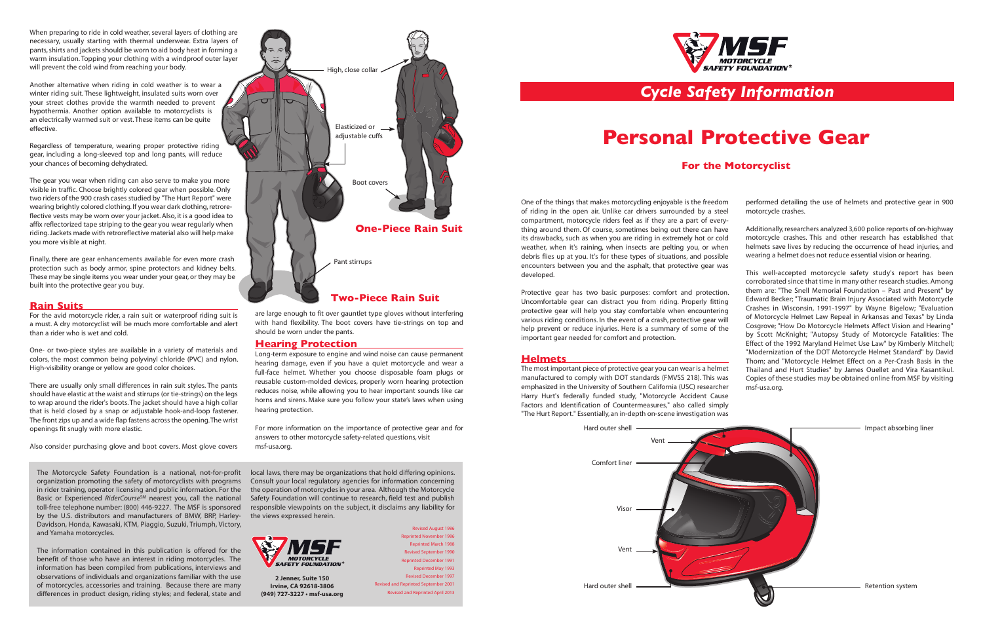One of the things that makes motorcycling enjoyable is the freedom of riding in the open air. Unlike car drivers surrounded by a steel compartment, motorcycle riders feel as if they are a part of everything around them. Of course, sometimes being out there can have its drawbacks, such as when you are riding in extremely hot or cold weather, when it's raining, when insects are pelting you, or when debris flies up at you. It's for these types of situations, and possible encounters between you and the asphalt, that protective gear was developed. performed detailing the use of helmets and protective gear in 900 motorcycle crashes. Additionally, researchers analyzed 3,600 police reports of on-highway motorcycle crashes. This and other research has established that helmets save lives by reducing the occurrence of head injuries, and wearing a helmet does not reduce essential vision or hearing.

Harry Hurt's federally funded study, "Motorcycle Accident Cause Factors and Identification of Countermeasures," also called simply "The Hurt Report." Essentially, an in-depth on-scene investigation was

Protective gear has two basic purposes: comfort and protection. Uncomfortable gear can distract you from riding. Properly fitting protective gear will help you stay comfortable when encountering various riding conditions. In the event of a crash, protective gear will help prevent or reduce injuries. Here is a summary of some of the important gear needed for comfort and protection. **Helmets** The most important piece of protective gear you can wear is a helmet manufactured to comply with DOT standards (FMVSS 218). This was emphasized in the University of Southern California (USC) researcher This well-accepted motorcycle safety study's report has been corroborated since that time in many other research studies. Among them are: "The Snell Memorial Foundation – Past and Present" by Edward Becker; "Traumatic Brain Injury Associated with Motorcycle Crashes in Wisconsin, 1991-1997" by Wayne Bigelow; "Evaluation of Motorcycle Helmet Law Repeal in Arkansas and Texas" by Linda Cosgrove; "How Do Motorcycle Helmets Affect Vision and Hearing" by Scott McKnight; "Autopsy Study of Motorcycle Fatalities: The Effect of the 1992 Maryland Helmet Use Law" by Kimberly Mitchell; "Modernization of the DOT Motorcycle Helmet Standard" by David Thom; and "Motorcycle Helmet Effect on a Per-Crash Basis in the Thailand and Hurt Studies" by James Ouellet and Vira Kasantikul. Copies of these studies may be obtained online from MSF by visiting msf-usa.org.

## *Cycle Safety Information*

# **Personal Protective Gear**

### **For the Motorcyclist**

Hard outer shell **Impact absorbing liner** Hard outer shell **Exercise Section system** Retention system

The Motorcycle Safety Foundation is a national, not-for-profit organization promoting the safety of motorcyclists with programs in rider training, operator licensing and public information. For the Basic or Experienced *RiderCourse<sup>SM</sup>* nearest you, call the national toll-free telephone number: (800) 446-9227. The MSF is sponsored by the U.S. distributors and manufacturers of BMW, BRP, Harley-Davidson, Honda, Kawasaki, KTM, Piaggio, Suzuki, Triumph, Victory, and Yamaha motorcycles.

The information contained in this publication is offered for the benefit of those who have an interest in riding motorcycles. The information has been compiled from publications, interviews and observations of individuals and organizations familiar with the use of motorcycles, accessories and training. Because there are many differences in product design, riding styles; and federal, state and local laws, there may be organizations that hold differing opinions. Consult your local regulatory agencies for information concerning the operation of motorcycles in your area. Although the Motorcycle Safety Foundation will continue to research, field test and publish responsible viewpoints on the subject, it disclaims any liability for the views expressed herein.



Revised August 1986 Reprinted November 1986 Reprinted March 1988 Revised September 1990 Reprinted December 1991 Reprinted May 1993 Revised December 1997 Revised and Reprinted September 2001 Revised and Reprinted April 2013



**2 Jenner, Suite 150 Irvine, CA 92618-3806 (949) 727-3227 • msf-usa.org**

When preparing to ride in cold weather, several layers of clothing are necessary, usually starting with thermal underwear. Extra layers of pants, shirts and jackets should be worn to aid body heat in forming a warm insulation. Topping your clothing with a windproof outer layer will prevent the cold wind from reaching your body.

Another alternative when riding in cold weather is to wear a winter riding suit. These lightweight, insulated suits worn over your street clothes provide the warmth needed to prevent hypothermia. Another option available to motorcyclists is an electrically warmed suit or vest. These items can be quite effective.

Regardless of temperature, wearing proper protective riding gear, including a long-sleeved top and long pants, will reduce your chances of becoming dehydrated.

The gear you wear when riding can also serve to make you more visible in traffic. Choose brightly colored gear when possible. Only two riders of the 900 crash cases studied by "The Hurt Report" were wearing brightly colored clothing. If you wear dark clothing, retroreflective vests may be worn over your jacket. Also, it is a good idea to affix reflectorized tape striping to the gear you wear regularly when riding. Jackets made with retroreflective material also will help make you more visible at night.

Finally, there are gear enhancements available for even more crash protection such as body armor, spine protectors and kidney belts. These may be single items you wear under your gear, or they may be built into the protective gear you buy.

#### **Rain Suits**

For the avid motorcycle rider, a rain suit or waterproof riding suit is a must. A dry motorcyclist will be much more comfortable and alert than a rider who is wet and cold.

One- or two-piece styles are available in a variety of materials and colors, the most common being polyvinyl chloride (PVC) and nylon. High-visibility orange or yellow are good color choices.

There are usually only small differences in rain suit styles. The pants should have elastic at the waist and stirrups (or tie-strings) on the legs to wrap around the rider's boots. The jacket should have a high collar that is held closed by a snap or adjustable hook-and-loop fastener. The front zips up and a wide flap fastens across the opening. The wrist openings fit snugly with more elastic.

Also consider purchasing glove and boot covers. Most glove covers

are large enough to fit over gauntlet type gloves without interfering with hand flexibility. The boot covers have tie-strings on top and should be worn under the pants.

### **Hearing Protection**

Long-term exposure to engine and wind noise can cause permanent hearing damage, even if you have a quiet motorcycle and wear a full-face helmet. Whether you choose disposable foam plugs or reusable custom-molded devices, properly worn hearing protection reduces noise, while allowing you to hear important sounds like car horns and sirens. Make sure you follow your state's laws when using hearing protection.

For more information on the importance of protective gear and for answers to other motorcycle safety-related questions, visit msf-usa.org.